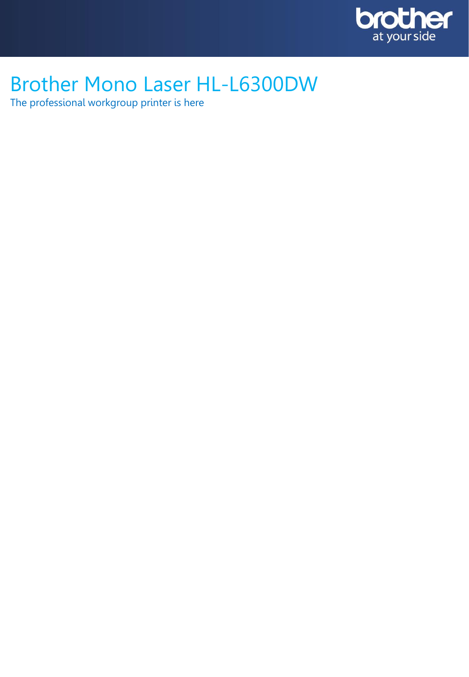

# Brother Mono Laser HL-L6300DW

The professional workgroup printer is here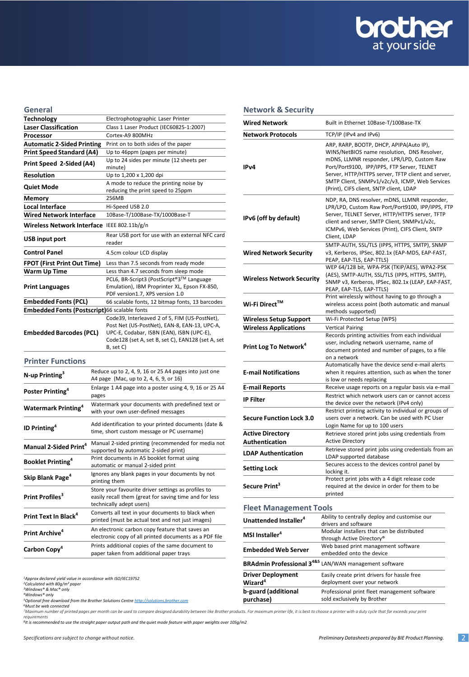

#### **General**<br>Technology **Technology** Electrophotographic Laser Printer<br> **Laser Classification** Class 1 Laser Product (IEC60825-1: **Laser Classification** Class 1 Laser Product (IEC60825-1:2007) **Processor** Cortex-A9 800MHz **Automatic 2-Sided Printing** Print on to both sides of the paper Up to 46ppm (pages per minute) **Print Speed 2-Sided (A4)** Up to 24 sides per minute (12 sheets per minute) **Resolution** Up to 1,200 x 1,200 dpi **Quiet Mode** A mode to reduce the printing noise by<br> **Quiet Mode** and the print cread to 25 nome. reducing the print speed to 25ppm **Memory** 256MB Local Interface Hi-Speed USB 2.0 **Wired Network Interface** 10Base-T/100Base-TX/1000Base-T **Wireless Network Interface** IEEE 802.11b/g/n **USB input port** Rear USB port for use with an external NFC card reader **Control Panel** 4.5cm colour LCD display **FPOT (First Print Out Time)** Less than 7.5 seconds from ready mode **Warm Up Time** Less than 4.7 seconds from sleep mode **Print Languages** PCL6, BR-Script3 (PostScript®3TM Language Emulation), IBM Proprinter XL, Epson FX-850, PDF version1.7, XPS version 1.0 **Embedded Fonts (PCL)** 66 scalable fonts, 12 bitmap fonts, 13 barcodes **Embedded Fonts (Postscript)**66 scalable fonts **Embedded Barcodes (PCL)** Code39, Interleaved 2 of 5, FIM (US-PostNet), Post Net (US-PostNet), EAN-8, EAN-13, UPC-A, UPC-E, Codabar, ISBN (EAN), ISBN (UPC-E), Code128 (set A, set B, set C), EAN128 (set A, set B, set C) **Printer Functions N-up Printing<sup>3</sup>** Reduce up to 2, 4, 9, 16 or 25 A4 pages into just one A4 page (Mac, up to 2, 4, 6, 9, or 16)

|                                       | A4 page (Mac, up to 2, 4, 6, 9, or 16)                                                                                                    |
|---------------------------------------|-------------------------------------------------------------------------------------------------------------------------------------------|
| Poster Printing <sup>4</sup>          | Enlarge 1 A4 page into a poster using 4, 9, 16 or 25 A4<br>pages                                                                          |
| <b>Watermark Printing<sup>4</sup></b> | Watermark your documents with predefined text or<br>with your own user-defined messages                                                   |
| <b>ID Printing</b> <sup>4</sup>       | Add identification to your printed documents (date &<br>time, short custom message or PC username)                                        |
| Manual 2-Sided Print <sup>4</sup>     | Manual 2-sided printing (recommended for media not<br>supported by automatic 2-sided print)                                               |
| <b>Booklet Printing</b> <sup>4</sup>  | Print documents in A5 booklet format using<br>automatic or manual 2-sided print                                                           |
| Skip Blank Page <sup>4</sup>          | Ignores any blank pages in your documents by not<br>printing them                                                                         |
| Print Profiles <sup>3</sup>           | Store your favourite driver settings as profiles to<br>easily recall them (great for saving time and for less<br>technically adept users) |
| Print Text In Black <sup>4</sup>      | Converts all text in your documents to black when<br>printed (must be actual text and not just images)                                    |
| Print Archive <sup>4</sup>            | An electronic carbon copy feature that saves an<br>electronic copy of all printed documents as a PDF file                                 |
| Carbon Copy <sup>4</sup>              | Prints additional copies of the same document to<br>paper taken from additional paper trays                                               |
|                                       |                                                                                                                                           |

*<sup>1</sup>Approx declared yield value in accordance with ISO/IEC19752*

*<sup>4</sup>Windows® only*

*<sup>5</sup>Optional free download from the Brother Solutions Centre [http://solutions.brother.com](http://solutions.brother.com/) <sup>6</sup>Must be web connected*

.<br>Maximum number of printed pages per month can be used to compare designed durability between like Brother products. For maximum printer life, it is best to choose a printer with a duty cycle that far exceeds your print *requirements*

*8 It is recommended to use the straight paper output path and the quiet mode feature with paper weights over 105g/m2*

#### **Network & Security**

| <b>Wired Network</b>                      | Built in Ethernet 10Base-T/100Base-TX                                                                                                                                                                                                                                                                                                  |
|-------------------------------------------|----------------------------------------------------------------------------------------------------------------------------------------------------------------------------------------------------------------------------------------------------------------------------------------------------------------------------------------|
| <b>Network Protocols</b>                  | TCP/IP (IPv4 and IPv6)                                                                                                                                                                                                                                                                                                                 |
| IPv4                                      | ARP, RARP, BOOTP, DHCP, APIPA(Auto IP),<br>WINS/NetBIOS name resolution, DNS Resolver,<br>mDNS, LLMNR responder, LPR/LPD, Custom Raw<br>Port/Port9100, IPP/IPPS, FTP Server, TELNET<br>Server, HTTP/HTTPS server, TFTP client and server,<br>SMTP Client, SNMPv1/v2c/v3, ICMP, Web Services<br>(Print), CIFS client, SNTP client, LDAP |
| IPv6 (off by default)                     | NDP, RA, DNS resolver, mDNS, LLMNR responder,<br>LPR/LPD, Custom Raw Port/Port9100, IPP/IPPS, FTP<br>Server, TELNET Server, HTTP/HTTPS server, TFTP<br>client and server, SMTP Client, SNMPv1/v2c,<br>ICMPv6, Web Services (Print), CIFS Client, SNTP<br>Client, LDAP                                                                  |
| <b>Wired Network Security</b>             | SMTP-AUTH, SSL/TLS (IPPS, HTTPS, SMTP), SNMP<br>v3, Kerberos, IPSec, 802.1x (EAP-MD5, EAP-FAST,<br>PEAP, EAP-TLS, EAP-TTLS)                                                                                                                                                                                                            |
| <b>Wireless Network Security</b>          | WEP 64/128 bit, WPA-PSK (TKIP/AES), WPA2-PSK<br>(AES), SMTP-AUTH, SSL/TLS (IPPS, HTTPS, SMTP),<br>SNMP v3, Kerberos, IPSec, 802.1x (LEAP, EAP-FAST,<br>PEAP, EAP-TLS, EAP-TTLS)                                                                                                                                                        |
| Wi-Fi Direct™                             | Print wirelessly without having to go through a<br>wireless access point (both automatic and manual<br>methods supported)                                                                                                                                                                                                              |
| <b>Wireless Setup Support</b>             | Wi-Fi Protected Setup (WPS)                                                                                                                                                                                                                                                                                                            |
| <b>Wireless Applications</b>              | <b>Vertical Pairing</b>                                                                                                                                                                                                                                                                                                                |
| Print Log To Network <sup>4</sup>         | Records printing activities from each individual<br>user, including network username, name of<br>document printed and number of pages, to a file<br>on a network<br>Automatically have the device send e-mail alerts                                                                                                                   |
| <b>E-mail Notifications</b>               | when it requires attention, such as when the toner<br>is low or needs replacing                                                                                                                                                                                                                                                        |
| <b>E-mail Reports</b>                     | Receive usage reports on a regular basis via e-mail                                                                                                                                                                                                                                                                                    |
| <b>IP Filter</b>                          | Restrict which network users can or cannot access<br>the device over the network (IPv4 only)                                                                                                                                                                                                                                           |
| <b>Secure Function Lock 3.0</b>           | Restrict printing activity to individual or groups of<br>users over a network. Can be used with PC User<br>Login Name for up to 100 users                                                                                                                                                                                              |
| <b>Active Directory</b><br>Authentication | Retrieve stored print jobs using credentials from<br><b>Active Directory</b>                                                                                                                                                                                                                                                           |
| <b>LDAP Authentication</b>                | Retrieve stored print jobs using credentials from an<br>LDAP supported database                                                                                                                                                                                                                                                        |
| <b>Setting Lock</b>                       | Secures access to the devices control panel by<br>locking it.                                                                                                                                                                                                                                                                          |
| Secure Print <sup>3</sup>                 | Protect print jobs with a 4 digit release code<br>required at the device in order for them to be<br>printed                                                                                                                                                                                                                            |
| <b>Fleet Management Tools</b>             |                                                                                                                                                                                                                                                                                                                                        |
| Unattended Installer <sup>4</sup>         | Ability to centrally deploy and customise our<br>drivers and software                                                                                                                                                                                                                                                                  |
| MSI Installer <sup>4</sup>                | Modular installers that can be distributed<br>through Active Directory®                                                                                                                                                                                                                                                                |
| <b>Embedded Web Server</b>                | Web based print management software<br>embedded onto the device                                                                                                                                                                                                                                                                        |

| <b>BRAdmin Professional 3<sup>4&amp;5</sup></b> LAN/WAN management software |                                              |
|-----------------------------------------------------------------------------|----------------------------------------------|
| <b>Driver Deployment</b>                                                    | Easily create print drivers for hassle free  |
| Wizard $^{\rm 4}$                                                           | deployment over your network                 |
| b-guard (additional                                                         | Professional print fleet management software |
| purchase)                                                                   | sold exclusively by Brother                  |

*<sup>2</sup>Calculated with 80g/m² paper <sup>3</sup>Windows® & Mac® only*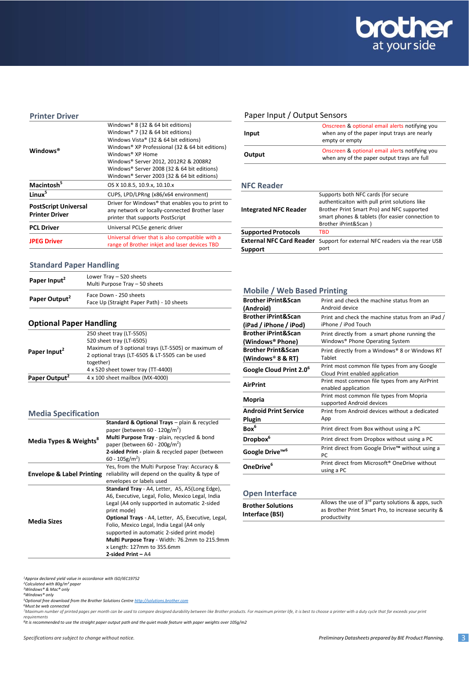

#### **Printer Driver**

|                             | Windows® 8 (32 & 64 bit editions)                |
|-----------------------------|--------------------------------------------------|
| Windows®                    | Windows® 7 (32 & 64 bit editions)                |
|                             | Windows Vista® (32 & 64 bit editions)            |
|                             | Windows® XP Professional (32 & 64 bit editions)  |
|                             | Windows® XP Home                                 |
|                             | Windows® Server 2012, 2012R2 & 2008R2            |
|                             | Windows® Server 2008 (32 & 64 bit editions)      |
|                             | Windows® Server 2003 (32 & 64 bit editions)      |
| Macintosh <sup>5</sup>      | OS X 10.8.5, 10.9.x, 10.10.x                     |
| Linux <sup>5</sup>          | CUPS, LPD/LPRng (x86/x64 environment)            |
|                             | Driver for Windows® that enables you to print to |
| <b>PostScript Universal</b> | any network or locally-connected Brother laser   |
| <b>Printer Driver</b>       | printer that supports PostScript                 |
| <b>PCL Driver</b>           | Universal PCL5e generic driver                   |
|                             | Universal driver that is also compatible with a  |
| <b>JPEG Driver</b>          | range of Brother inkjet and laser devices TBD    |
|                             |                                                  |

# **Standard Paper Handling**

| Paper Input <sup>2</sup>  | Lower Tray - 520 sheets<br>Multi Purpose Tray - 50 sheets           |  |
|---------------------------|---------------------------------------------------------------------|--|
| Paper Output <sup>2</sup> | Face Down - 250 sheets<br>Face Up (Straight Paper Path) - 10 sheets |  |

# **Optional Paper Handling**

| Paper Output <sup>2</sup> | 4 x 100 sheet mailbox (MX-4000)                     |
|---------------------------|-----------------------------------------------------|
|                           | 4 x 520 sheet tower tray (TT-4400)                  |
| Paper Input <sup>2</sup>  | together)                                           |
|                           | 2 optional trays (LT-6505 & LT-5505 can be used     |
|                           | Maximum of 3 optional trays (LT-5505) or maximum of |
|                           | 520 sheet tray (LT-6505)                            |
|                           | 250 sheet tray (LT-5505)                            |

# **Media Specification**

|                                      | Standard & Optional Trays - plain & recycled<br>paper (between 60 - 120g/m <sup>2</sup> )                                                                                                                                                                 |
|--------------------------------------|-----------------------------------------------------------------------------------------------------------------------------------------------------------------------------------------------------------------------------------------------------------|
| Media Types & Weights <sup>8</sup>   | Multi Purpose Tray - plain, recycled & bond<br>paper (between 60 - 200g/m <sup>2</sup> )                                                                                                                                                                  |
|                                      | 2-sided Print - plain & recycled paper (between<br>$60 - 105$ g/m <sup>2</sup> )                                                                                                                                                                          |
| <b>Envelope &amp; Label Printing</b> | Yes, from the Multi Purpose Tray: Accuracy &<br>reliability will depend on the quality & type of<br>envelopes or labels used                                                                                                                              |
| <b>Media Sizes</b>                   | Standard Tray - A4, Letter, A5, A5(Long Edge),<br>A6, Executive, Legal, Folio, Mexico Legal, India<br>Legal (A4 only supported in automatic 2-sided<br>print mode)                                                                                        |
|                                      | <b>Optional Trays</b> - A4, Letter, A5, Executive, Legal,<br>Folio, Mexico Legal, India Legal (A4 only<br>supported in automatic 2-sided print mode)<br>Multi Purpose Tray - Width: 76.2mm to 215.9mm<br>x Length: 127mm to 355.6mm<br>2-sided Print - A4 |

## Paper Input / Output Sensors

| Input  | Onscreen & optional email alerts notifying you<br>when any of the paper input trays are nearly<br>empty or empty |
|--------|------------------------------------------------------------------------------------------------------------------|
| Output | Onscreen & optional email alerts notifying you<br>when any of the paper output trays are full                    |

## **NFC Reader**

|                                 | Supports both NFC cards (for secure               |
|---------------------------------|---------------------------------------------------|
|                                 | authenticaiton with pull print solutions like     |
| <b>Integrated NFC Reader</b>    | Brother Print Smart Pro) and NFC supported        |
|                                 | smart phones & tablets (for easier connection to  |
|                                 | Brother iPrint&Scan)                              |
| <b>Supported Protocols</b>      | TBD                                               |
| <b>External NFC Card Reader</b> | Support for external NFC readers via the rear USB |
| Support                         | port                                              |

#### **Mobile / Web Based Printing**

| <b>Brother iPrint&amp;Scan</b><br>(Android)              | Print and check the machine status from an<br>Android device                     |
|----------------------------------------------------------|----------------------------------------------------------------------------------|
| <b>Brother iPrint&amp;Scan</b><br>(iPad / iPhone / iPod) | Print and check the machine status from an iPad /<br>iPhone / iPod Touch         |
| <b>Brother iPrint&amp;Scan</b><br>(Windows® Phone)       | Print directly from a smart phone running the<br>Windows® Phone Operating System |
| <b>Brother Print&amp;Scan</b><br>(Windows® 8 & RT)       | Print directly from a Windows® 8 or Windows RT<br>Tablet                         |
| Google Cloud Print 2.0 <sup>6</sup>                      | Print most common file types from any Google<br>Cloud Print enabled application  |
| <b>AirPrint</b>                                          | Print most common file types from any AirPrint<br>enabled application            |
| Mopria                                                   | Print most common file types from Mopria<br>supported Android devices            |
| <b>Android Print Service</b><br>Plugin                   | Print from Android devices without a dedicated<br>App                            |
| Box <sup>6</sup>                                         | Print direct from Box without using a PC                                         |
| Dropbox <sup>6</sup>                                     | Print direct from Dropbox without using a PC                                     |
| Google Drive <sup>™6</sup>                               | Print direct from Google Drive™ without using a<br>PC.                           |
| OneDrive <sup>6</sup>                                    | Print direct from Microsoft <sup>®</sup> OneDrive without<br>using a PC          |

## **Open Interface**

| <b>Brother Solutions</b> | Allows the use of $3^{rd}$ party solutions & apps, such |
|--------------------------|---------------------------------------------------------|
|                          | as Brother Print Smart Pro, to increase security &      |
| Interface (BSI)          | productivity                                            |

<sup>1</sup>Approx declared yield value in accordance with ISO/IEC19752<br><sup>2</sup>Calculated with 80g/m<sup>2</sup> paper<br><sup>2</sup>Windows® & Mac® only<br><sup>2</sup>Optional free download from the Brother Solutions Centre <u>[http://solutions.brother.com](http://solutions.brother.com/)</u><br><sup>5</sup>Optiona

<sup>7</sup>Maximum number of printed pages per month can be used to compare designed durability between like Brother products. For maximum printer life, it is best to choose a printer with a duty cycle that far exceeds your print<br>

*8 It is recommended to use the straight paper output path and the quiet mode feature with paper weights over 105g/m2*